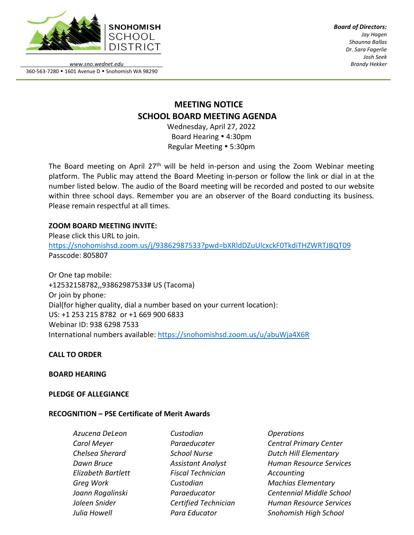

*Board of Directors: Jay Hagen Shaunna Ballas Dr. Sara Fagerlie Josh Seek Brandy Hekker*

*www.sno.wednet.edu* 360-563-7280 • 1601 Avenue D • Snohomish WA 98290

# **MEETING NOTICE SCHOOL BOARD MEETING AGENDA**

Wednesday, April 27, 2022 Board Hearing 4:30pm Regular Meeting • 5:30pm

The Board meeting on April  $27<sup>th</sup>$  will be held in-person and using the Zoom Webinar meeting platform. The Public may attend the Board Meeting in-person or follow the link or dial in at the number listed below. The audio of the Board meeting will be recorded and posted to our website within three school days. Remember you are an observer of the Board conducting its business. Please remain respectful at all times.

## **ZOOM BOARD MEETING INVITE:**

Please click this URL to join. <https://snohomishsd.zoom.us/j/93862987533?pwd=bXRldDZuUlcxckF0TkdiTHZWRTJBQT09> Passcode: 805807

Or One tap mobile: +12532158782,,93862987533# US (Tacoma) Or join by phone: Dial(for higher quality, dial a number based on your current location): US: +1 253 215 8782 or +1 669 900 6833 Webinar ID: 938 6298 7533 International numbers available:<https://snohomishsd.zoom.us/u/abuWja4X6R>

## **CALL TO ORDER**

## **BOARD HEARING**

## **PLEDGE OF ALLEGIANCE**

## **RECOGNITION – PSE Certificate of Merit Awards**

*Azucena DeLeon Custodian Operations*

*Elizabeth Bartlett Fiscal Technician Accounting*

*Carol Meyer Paraeducater Central Primary Center Chelsea Sherard School Nurse Dutch Hill Elementary Dawn Bruce Assistant Analyst Human Resource Services Greg Work Custodian Machias Elementary Joann Rogalinski Paraeducator Centennial Middle School Joleen Snider Certified Technician Human Resource Services Julia Howell Para Educator Snohomish High School*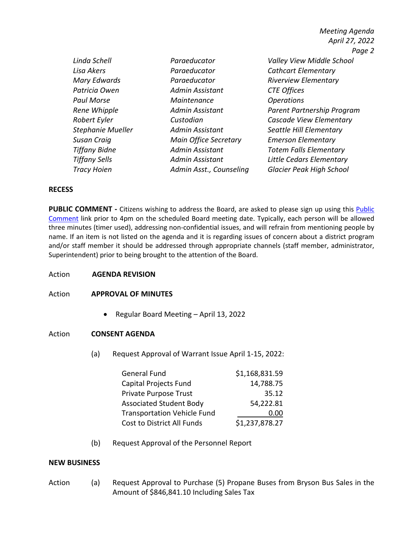|                      |                              | April 27, 2022                   |
|----------------------|------------------------------|----------------------------------|
|                      |                              | Page 2                           |
| Linda Schell         | Paraeducator                 | <b>Valley View Middle School</b> |
| Lisa Akers           | Paraeducator                 | <b>Cathcart Elementary</b>       |
| Mary Edwards         | Paraeducator                 | <b>Riverview Elementary</b>      |
| Patricia Owen        | Admin Assistant              | <b>CTE Offices</b>               |
| <b>Paul Morse</b>    | Maintenance                  | <b>Operations</b>                |
| Rene Whipple         | Admin Assistant              | Parent Partnership Program       |
| Robert Eyler         | Custodian                    | Cascade View Elementary          |
| Stephanie Mueller    | <b>Admin Assistant</b>       | Seattle Hill Elementary          |
| Susan Craiq          | <b>Main Office Secretary</b> | <b>Emerson Elementary</b>        |
| <b>Tiffany Bidne</b> | <b>Admin Assistant</b>       | <b>Totem Falls Elementary</b>    |
| <b>Tiffany Sells</b> | <b>Admin Assistant</b>       | Little Cedars Elementary         |
| <b>Tracy Hoien</b>   | Admin Asst., Counseling      | Glacier Peak High School         |

*Meeting Agenda*

#### **RECESS**

**PUBLIC COMMENT** - Citizens wishing to address the Board, are asked to please sign up using this [Public](https://www.sno.wednet.edu/site/Default.aspx?PageID=5004) [Comment](https://www.sno.wednet.edu/site/Default.aspx?PageID=5004) link prior to 4pm on the scheduled Board meeting date. Typically, each person will be allowed three minutes (timer used), addressing non-confidential issues, and will refrain from mentioning people by name. If an item is not listed on the agenda and it is regarding issues of concern about a district program and/or staff member it should be addressed through appropriate channels (staff member, administrator, Superintendent) prior to being brought to the attention of the Board.

Action **AGENDA REVISION**

Action **APPROVAL OF MINUTES**

• Regular Board Meeting – April 13, 2022

#### Action **CONSENT AGENDA**

(a) Request Approval of Warrant Issue April 1-15, 2022:

| <b>General Fund</b>                | \$1,168,831.59 |
|------------------------------------|----------------|
| Capital Projects Fund              | 14,788.75      |
| Private Purpose Trust              | 35.12          |
| Associated Student Body            | 54,222.81      |
| <b>Transportation Vehicle Fund</b> | 0.00           |
| Cost to District All Funds         | \$1,237,878.27 |

(b) Request Approval of the Personnel Report

#### **NEW BUSINESS**

Action (a) Request Approval to Purchase (5) Propane Buses from Bryson Bus Sales in the Amount of \$846,841.10 Including Sales Tax